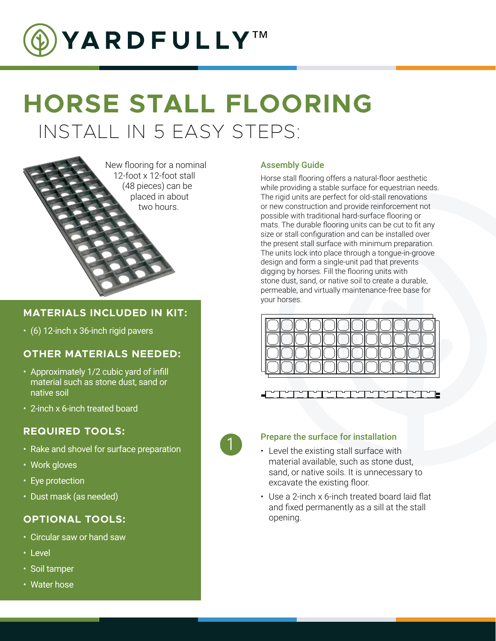

# INSTALL IN 5 EASY STEPS: **HORSE STALL FLOORING**



#### **MATERIALS INCLUDED IN KIT:**

• (6) 12-inch x 36-inch rigid pavers

#### **OTHER MATERIALS NEEDED:**

- Approximately 1/2 cubic yard of infill material such as stone dust, sand or native soil
- 2-inch x 6-inch treated board

#### **REQUIRED TOOLS:**

- Rake and shovel for surface preparation
- Work gloves
- Eye protection
- Dust mask (as needed)

### **OPTIONAL TOOLS:**

- Circular saw or hand saw
- Level
- Soil tamper
- Water hose

#### Assembly Guide

Horse stall flooring offers a natural-floor aesthetic while providing a stable surface for equestrian needs. The rigid units are perfect for old-stall renovations or new construction and provide reinforcement not possible with traditional hard-surface flooring or mats. The durable flooring units can be cut to fit any size or stall configuration and can be installed over the present stall surface with minimum preparation. The units lock into place through a tongue-in-groove design and form a single-unit pad that prevents digging by horses. Fill the flooring units with stone dust, sand, or native soil to create a durable, permeable, and virtually maintenance-free base for your horses.



## 1

### Prepare the surface for installation

- Level the existing stall surface with material available, such as stone dust, sand, or native soils. It is unnecessary to excavate the existing floor.
- Use a 2-inch x 6-inch treated board laid flat and fixed permanently as a sill at the stall opening.